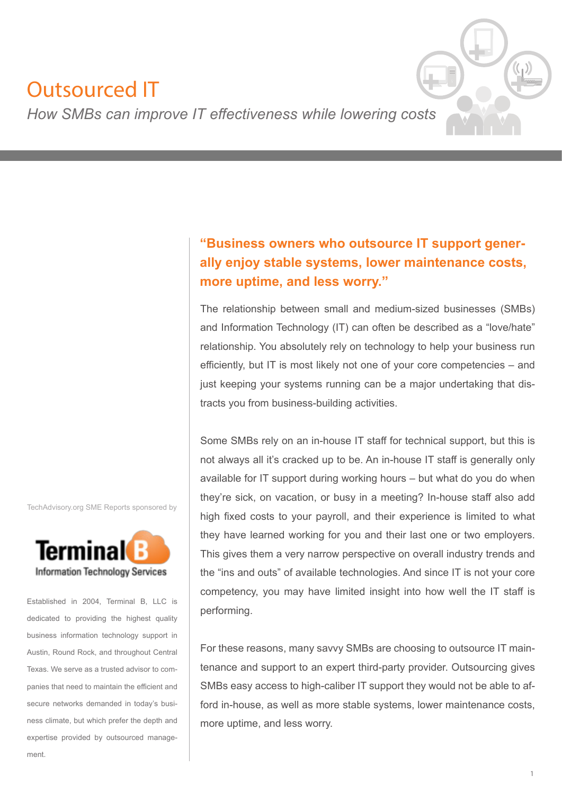# Outsourced IT



*How SMBs can improve IT effectiveness while lowering costs*

# **"Business owners who outsource IT support generally enjoy stable systems, lower maintenance costs, more uptime, and less worry."**

The relationship between small and medium-sized businesses (SMBs) and Information Technology (IT) can often be described as a "love/hate" relationship. You absolutely rely on technology to help your business run efficiently, but IT is most likely not one of your core competencies – and just keeping your systems running can be a major undertaking that distracts you from business-building activities.

Some SMBs rely on an in-house IT staff for technical support, but this is not always all it's cracked up to be. An in-house IT staff is generally only available for IT support during working hours – but what do you do when they're sick, on vacation, or busy in a meeting? In-house staff also add high fixed costs to your payroll, and their experience is limited to what they have learned working for you and their last one or two employers. This gives them a very narrow perspective on overall industry trends and the "ins and outs" of available technologies. And since IT is not your core competency, you may have limited insight into how well the IT staff is performing.

For these reasons, many savvy SMBs are choosing to outsource IT maintenance and support to an expert third-party provider. Outsourcing gives SMBs easy access to high-caliber IT support they would not be able to afford in-house, as well as more stable systems, lower maintenance costs, more uptime, and less worry.

TechAdvisory.org SME Reports sponsored by



Established in 2004, Terminal B, LLC is dedicated to providing the highest quality business information technology support in Austin, Round Rock, and throughout Central Texas. We serve as a trusted advisor to companies that need to maintain the efficient and secure networks demanded in today's business climate, but which prefer the depth and expertise provided by outsourced management.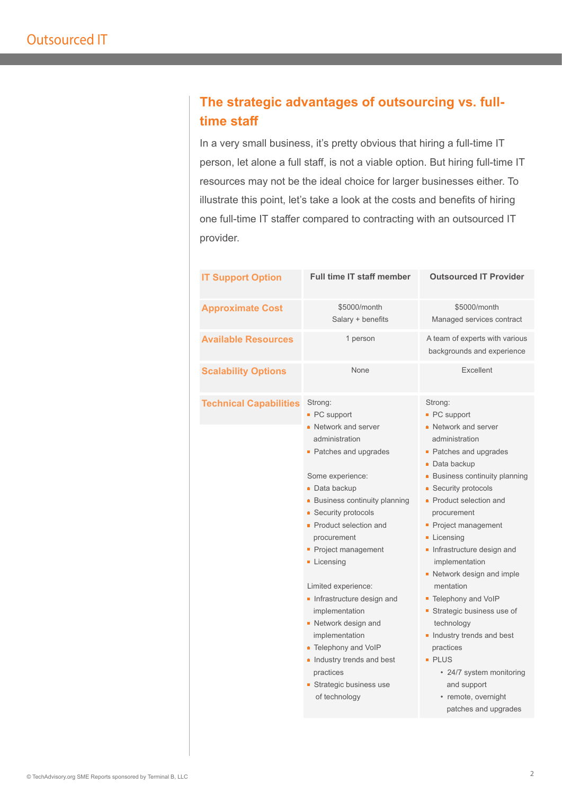## **The strategic advantages of outsourcing vs. fulltime staff**

In a very small business, it's pretty obvious that hiring a full-time IT person, let alone a full staff, is not a viable option. But hiring full-time IT resources may not be the ideal choice for larger businesses either. To illustrate this point, let's take a look at the costs and benefits of hiring one full-time IT staffer compared to contracting with an outsourced IT provider.

| <b>IT Support Option</b>      | <b>Full time IT staff member</b>                                                                                                                                                                                                                                                                                                                                                                                                                                                                                        | <b>Outsourced IT Provider</b>                                                                                                                                                                                                                                                                                                                                                                                                                                                                                                                                                |
|-------------------------------|-------------------------------------------------------------------------------------------------------------------------------------------------------------------------------------------------------------------------------------------------------------------------------------------------------------------------------------------------------------------------------------------------------------------------------------------------------------------------------------------------------------------------|------------------------------------------------------------------------------------------------------------------------------------------------------------------------------------------------------------------------------------------------------------------------------------------------------------------------------------------------------------------------------------------------------------------------------------------------------------------------------------------------------------------------------------------------------------------------------|
| <b>Approximate Cost</b>       | \$5000/month<br>Salary + benefits                                                                                                                                                                                                                                                                                                                                                                                                                                                                                       | \$5000/month<br>Managed services contract                                                                                                                                                                                                                                                                                                                                                                                                                                                                                                                                    |
| <b>Available Resources</b>    | 1 person                                                                                                                                                                                                                                                                                                                                                                                                                                                                                                                | A team of experts with various<br>backgrounds and experience                                                                                                                                                                                                                                                                                                                                                                                                                                                                                                                 |
| <b>Scalability Options</b>    | None                                                                                                                                                                                                                                                                                                                                                                                                                                                                                                                    | Excellent                                                                                                                                                                                                                                                                                                                                                                                                                                                                                                                                                                    |
| <b>Technical Capabilities</b> | Strong:<br>■ PC support<br>• Network and server<br>administration<br>• Patches and upgrades<br>Some experience:<br>Data backup<br><b>Business continuity planning</b><br><b>Security protocols</b><br><b>Product selection and</b><br>procurement<br>Project management<br><b>Licensing</b><br>Limited experience:<br>Infrastructure design and<br>implementation<br>• Network design and<br>implementation<br>• Telephony and VoIP<br>lndustry trends and best<br>practices<br>Strategic business use<br>of technology | Strong:<br>• PC support<br>• Network and server<br>administration<br>• Patches and upgrades<br>• Data backup<br>• Business continuity planning<br><b>Security protocols</b><br>• Product selection and<br>procurement<br>Project management<br><b>Licensing</b><br>Infrastructure design and<br>implementation<br>Network design and imple<br>mentation<br>■ Telephony and VoIP<br>Strategic business use of<br>technology<br>Industry trends and best<br>practices<br><b>PLUS</b><br>• 24/7 system monitoring<br>and support<br>• remote, overnight<br>patches and upgrades |
|                               |                                                                                                                                                                                                                                                                                                                                                                                                                                                                                                                         |                                                                                                                                                                                                                                                                                                                                                                                                                                                                                                                                                                              |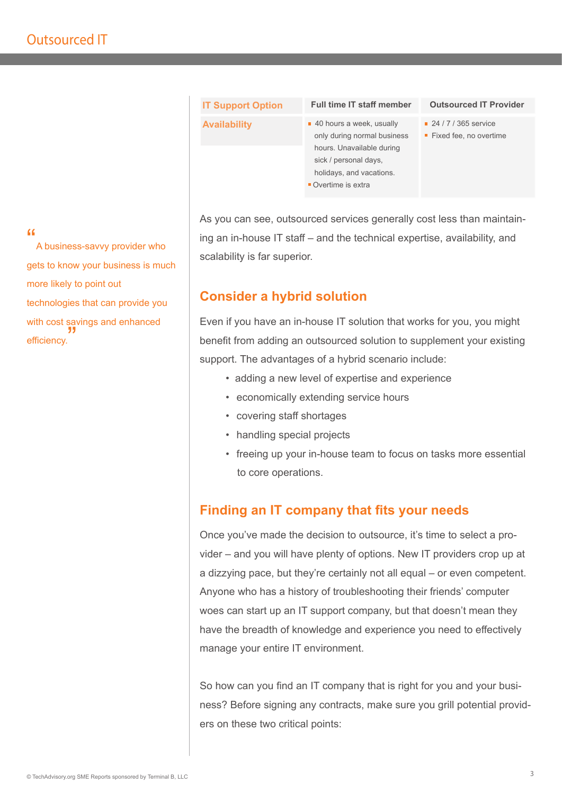| <b>IT Support Option</b> | <b>Full time IT staff member</b>                                                                                                                                              | <b>Outsourced IT Provider</b>                                   |
|--------------------------|-------------------------------------------------------------------------------------------------------------------------------------------------------------------------------|-----------------------------------------------------------------|
| <b>Availability</b>      | $\blacksquare$ 40 hours a week, usually<br>only during normal business<br>hours. Unavailable during<br>sick / personal days,<br>holidays, and vacations.<br>Overtime is extra | $\blacksquare$ 24 / 7 / 365 service<br>■ Fixed fee, no overtime |
|                          |                                                                                                                                                                               |                                                                 |

As you can see, outsourced services generally cost less than maintaining an in-house IT staff – and the technical expertise, availability, and scalability is far superior.

#### **Consider a hybrid solution**

Even if you have an in-house IT solution that works for you, you might benefit from adding an outsourced solution to supplement your existing support. The advantages of a hybrid scenario include:

- adding a new level of expertise and experience
- economically extending service hours
- covering staff shortages
- handling special projects
- freeing up your in-house team to focus on tasks more essential to core operations.

### **Finding an IT company that fits your needs**

Once you've made the decision to outsource, it's time to select a provider – and you will have plenty of options. New IT providers crop up at a dizzying pace, but they're certainly not all equal – or even competent. Anyone who has a history of troubleshooting their friends' computer woes can start up an IT support company, but that doesn't mean they have the breadth of knowledge and experience you need to effectively manage your entire IT environment.

So how can you find an IT company that is right for you and your business? Before signing any contracts, make sure you grill potential providers on these two critical points:

#### "

A business-savvy provider who gets to know your business is much more likely to point out technologies that can provide you with cost savings and enhanced efficiency. "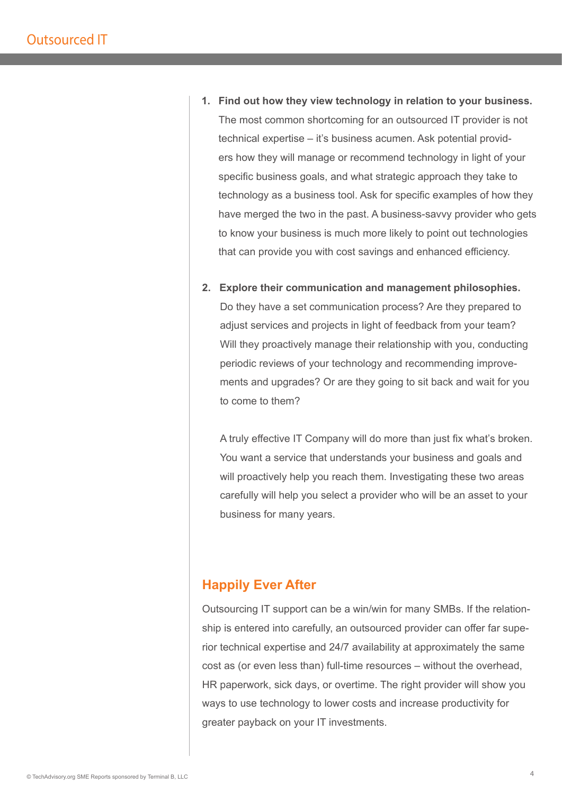- **1. Find out how they view technology in relation to your business.** The most common shortcoming for an outsourced IT provider is not technical expertise – it's business acumen. Ask potential providers how they will manage or recommend technology in light of your specific business goals, and what strategic approach they take to technology as a business tool. Ask for specific examples of how they have merged the two in the past. A business-savvy provider who gets to know your business is much more likely to point out technologies that can provide you with cost savings and enhanced efficiency.
- **2. Explore their communication and management philosophies.** Do they have a set communication process? Are they prepared to adjust services and projects in light of feedback from your team? Will they proactively manage their relationship with you, conducting periodic reviews of your technology and recommending improvements and upgrades? Or are they going to sit back and wait for you to come to them?

A truly effective IT Company will do more than just fix what's broken. You want a service that understands your business and goals and will proactively help you reach them. Investigating these two areas carefully will help you select a provider who will be an asset to your business for many years.

#### **Happily Ever After**

Outsourcing IT support can be a win/win for many SMBs. If the relationship is entered into carefully, an outsourced provider can offer far superior technical expertise and 24/7 availability at approximately the same cost as (or even less than) full-time resources – without the overhead, HR paperwork, sick days, or overtime. The right provider will show you ways to use technology to lower costs and increase productivity for greater payback on your IT investments.